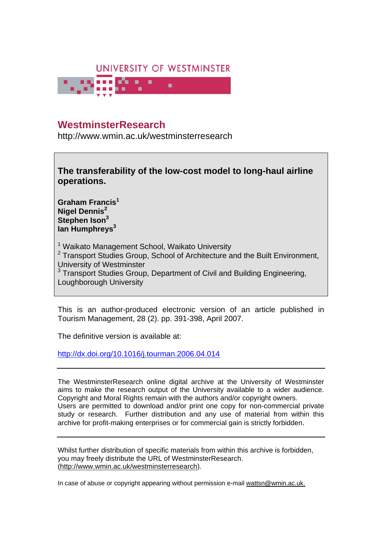

# **WestminsterResearch**

http://www.wmin.ac.uk/westminsterresearch



**Graham Francis1 Nigel Dennis<sup>2</sup> Stephen Ison3** lan Humphreys<sup>3</sup>

<sup>1</sup> Waikato Management School, Waikato University <sup>2</sup> Transport Studies Group, School of Architecture and the Built Environment, University of Westminster <sup>3</sup> Transport Studies Group, Department of Civil and Building Engineering, Loughborough University

This is an author-produced electronic version of an article published in Tourism Management, 28 (2). pp. 391-398, April 2007.

The definitive version is available at:

http://dx.doi.org/10.1016/j.tourman.2006.04.014

The WestminsterResearch online digital archive at the University of Westminster aims to make the research output of the University available to a wider audience. Copyright and Moral Rights remain with the authors and/or copyright owners. Users are permitted to download and/or print one copy for non-commercial private study or research. Further distribution and any use of material from within this archive for profit-making enterprises or for commercial gain is strictly forbidden.

Whilst further distribution of specific materials from within this archive is forbidden, you may freely distribute the URL of WestminsterResearch. (http://www.wmin.ac.uk/westminsterresearch).

In case of abuse or copyright appearing without permission e-mail wattsn@wmin.ac.uk.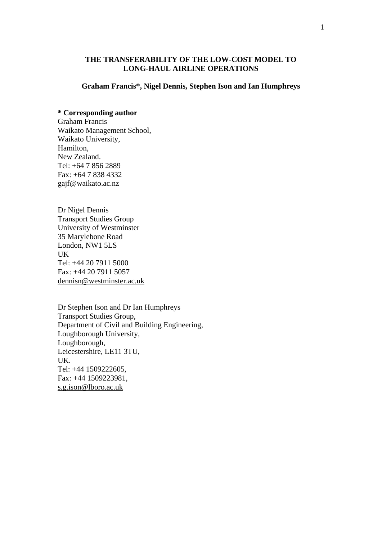# **THE TRANSFERABILITY OF THE LOW-COST MODEL TO LONG-HAUL AIRLINE OPERATIONS**

#### **Graham Francis\*, Nigel Dennis, Stephen Ison and Ian Humphreys**

# **\* Corresponding author**

Graham Francis Waikato Management School, Waikato University, Hamilton, New Zealand. Tel: +64 7 856 2889 Fax: +64 7 838 4332 gajf@waikato.ac.nz

Dr Nigel Dennis Transport Studies Group University of Westminster 35 Marylebone Road London, NW1 5LS UK Tel: +44 20 7911 5000 Fax: +44 20 7911 5057 dennisn@westminster.ac.uk

Dr Stephen Ison and Dr Ian Humphreys Transport Studies Group, Department of Civil and Building Engineering, Loughborough University, Loughborough, Leicestershire, LE11 3TU, UK. Tel: +44 1509222605, Fax: +44 1509223981, s.g.ison@lboro.ac.uk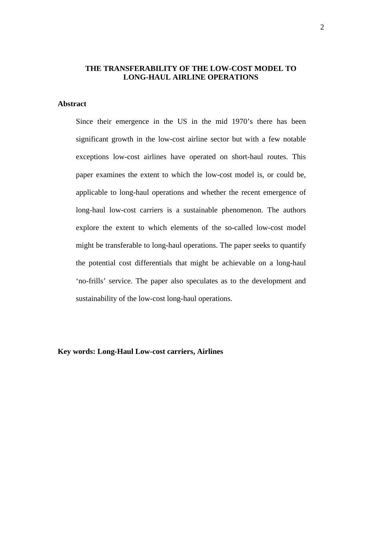# **THE TRANSFERABILITY OF THE LOW-COST MODEL TO LONG-HAUL AIRLINE OPERATIONS**

# **Abstract**

Since their emergence in the US in the mid 1970's there has been significant growth in the low-cost airline sector but with a few notable exceptions low-cost airlines have operated on short-haul routes. This paper examines the extent to which the low-cost model is, or could be, applicable to long-haul operations and whether the recent emergence of long-haul low-cost carriers is a sustainable phenomenon. The authors explore the extent to which elements of the so-called low-cost model might be transferable to long-haul operations. The paper seeks to quantify the potential cost differentials that might be achievable on a long-haul 'no-frills' service. The paper also speculates as to the development and sustainability of the low-cost long-haul operations.

**Key words: Long-Haul Low-cost carriers, Airlines**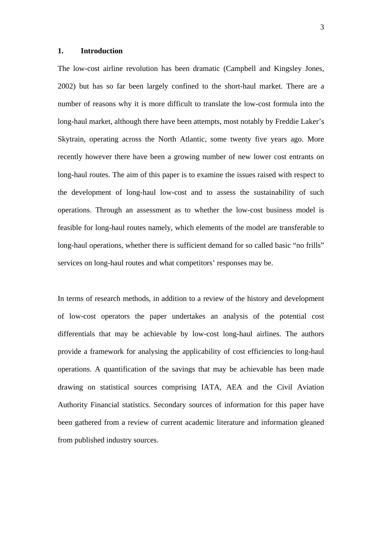## **1. Introduction**

The low-cost airline revolution has been dramatic (Campbell and Kingsley Jones, 2002) but has so far been largely confined to the short-haul market. There are a number of reasons why it is more difficult to translate the low-cost formula into the long-haul market, although there have been attempts, most notably by Freddie Laker's Skytrain, operating across the North Atlantic, some twenty five years ago. More recently however there have been a growing number of new lower cost entrants on long-haul routes. The aim of this paper is to examine the issues raised with respect to the development of long-haul low-cost and to assess the sustainability of such operations. Through an assessment as to whether the low-cost business model is feasible for long-haul routes namely, which elements of the model are transferable to long-haul operations, whether there is sufficient demand for so called basic "no frills" services on long-haul routes and what competitors' responses may be.

In terms of research methods, in addition to a review of the history and development of low-cost operators the paper undertakes an analysis of the potential cost differentials that may be achievable by low-cost long-haul airlines. The authors provide a framework for analysing the applicability of cost efficiencies to long-haul operations. A quantification of the savings that may be achievable has been made drawing on statistical sources comprising IATA, AEA and the Civil Aviation Authority Financial statistics. Secondary sources of information for this paper have been gathered from a review of current academic literature and information gleaned from published industry sources.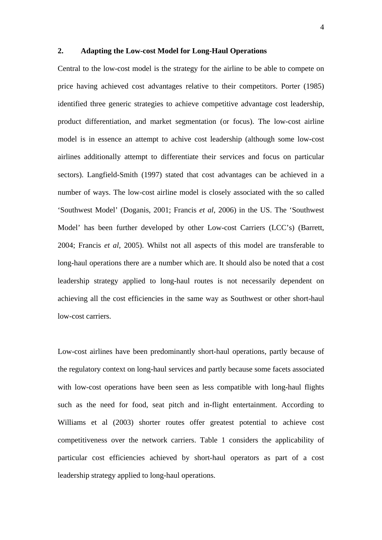#### **2. Adapting the Low-cost Model for Long-Haul Operations**

Central to the low-cost model is the strategy for the airline to be able to compete on price having achieved cost advantages relative to their competitors. Porter (1985) identified three generic strategies to achieve competitive advantage cost leadership, product differentiation, and market segmentation (or focus). The low-cost airline model is in essence an attempt to achive cost leadership (although some low-cost airlines additionally attempt to differentiate their services and focus on particular sectors). Langfield-Smith (1997) stated that cost advantages can be achieved in a number of ways. The low-cost airline model is closely associated with the so called 'Southwest Model' (Doganis, 2001; Francis *et al*, 2006) in the US. The 'Southwest Model' has been further developed by other Low-cost Carriers (LCC's) (Barrett, 2004; Francis *et al*, 2005). Whilst not all aspects of this model are transferable to long-haul operations there are a number which are. It should also be noted that a cost leadership strategy applied to long-haul routes is not necessarily dependent on achieving all the cost efficiencies in the same way as Southwest or other short-haul low-cost carriers.

Low-cost airlines have been predominantly short-haul operations, partly because of the regulatory context on long-haul services and partly because some facets associated with low-cost operations have been seen as less compatible with long-haul flights such as the need for food, seat pitch and in-flight entertainment. According to Williams et al (2003) shorter routes offer greatest potential to achieve cost competitiveness over the network carriers. Table 1 considers the applicability of particular cost efficiencies achieved by short-haul operators as part of a cost leadership strategy applied to long-haul operations.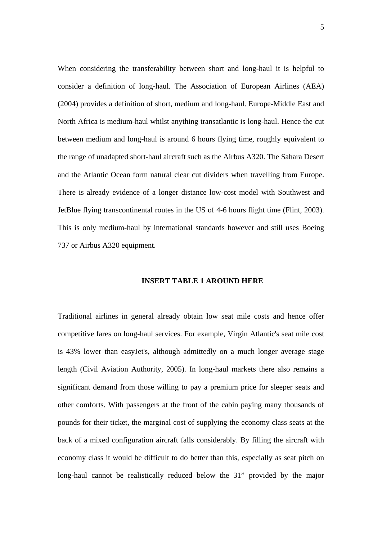When considering the transferability between short and long-haul it is helpful to consider a definition of long-haul. The Association of European Airlines (AEA) (2004) provides a definition of short, medium and long-haul. Europe-Middle East and North Africa is medium-haul whilst anything transatlantic is long-haul. Hence the cut between medium and long-haul is around 6 hours flying time, roughly equivalent to the range of unadapted short-haul aircraft such as the Airbus A320. The Sahara Desert and the Atlantic Ocean form natural clear cut dividers when travelling from Europe. There is already evidence of a longer distance low-cost model with Southwest and JetBlue flying transcontinental routes in the US of 4-6 hours flight time (Flint, 2003). This is only medium-haul by international standards however and still uses Boeing 737 or Airbus A320 equipment.

#### **INSERT TABLE 1 AROUND HERE**

Traditional airlines in general already obtain low seat mile costs and hence offer competitive fares on long-haul services. For example, Virgin Atlantic's seat mile cost is 43% lower than easyJet's, although admittedly on a much longer average stage length (Civil Aviation Authority, 2005). In long-haul markets there also remains a significant demand from those willing to pay a premium price for sleeper seats and other comforts. With passengers at the front of the cabin paying many thousands of pounds for their ticket, the marginal cost of supplying the economy class seats at the back of a mixed configuration aircraft falls considerably. By filling the aircraft with economy class it would be difficult to do better than this, especially as seat pitch on long-haul cannot be realistically reduced below the 31" provided by the major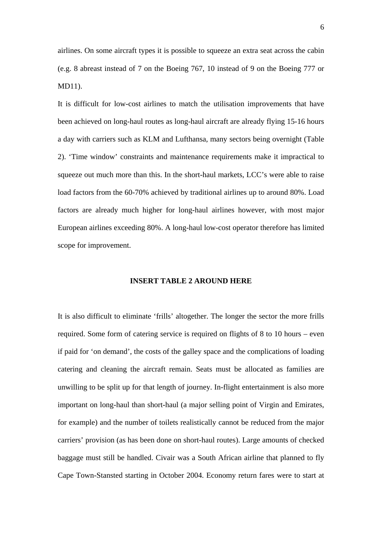airlines. On some aircraft types it is possible to squeeze an extra seat across the cabin (e.g. 8 abreast instead of 7 on the Boeing 767, 10 instead of 9 on the Boeing 777 or MD11).

It is difficult for low-cost airlines to match the utilisation improvements that have been achieved on long-haul routes as long-haul aircraft are already flying 15-16 hours a day with carriers such as KLM and Lufthansa, many sectors being overnight (Table 2). 'Time window' constraints and maintenance requirements make it impractical to squeeze out much more than this. In the short-haul markets, LCC's were able to raise load factors from the 60-70% achieved by traditional airlines up to around 80%. Load factors are already much higher for long-haul airlines however, with most major European airlines exceeding 80%. A long-haul low-cost operator therefore has limited scope for improvement.

#### **INSERT TABLE 2 AROUND HERE**

It is also difficult to eliminate 'frills' altogether. The longer the sector the more frills required. Some form of catering service is required on flights of 8 to 10 hours – even if paid for 'on demand', the costs of the galley space and the complications of loading catering and cleaning the aircraft remain. Seats must be allocated as families are unwilling to be split up for that length of journey. In-flight entertainment is also more important on long-haul than short-haul (a major selling point of Virgin and Emirates, for example) and the number of toilets realistically cannot be reduced from the major carriers' provision (as has been done on short-haul routes). Large amounts of checked baggage must still be handled. Civair was a South African airline that planned to fly Cape Town-Stansted starting in October 2004. Economy return fares were to start at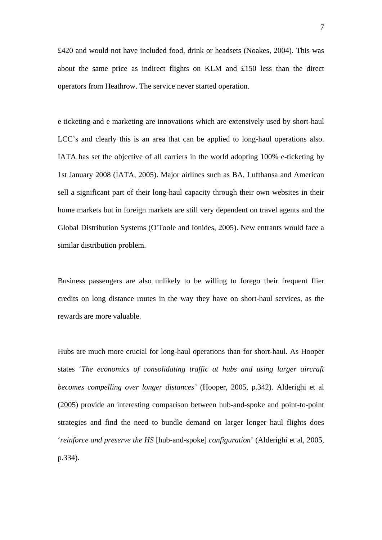£420 and would not have included food, drink or headsets (Noakes, 2004). This was about the same price as indirect flights on KLM and  $£150$  less than the direct operators from Heathrow. The service never started operation.

e ticketing and e marketing are innovations which are extensively used by short-haul LCC's and clearly this is an area that can be applied to long-haul operations also. IATA has set the objective of all carriers in the world adopting 100% e-ticketing by 1st January 2008 (IATA, 2005). Major airlines such as BA, Lufthansa and American sell a significant part of their long-haul capacity through their own websites in their home markets but in foreign markets are still very dependent on travel agents and the Global Distribution Systems (O'Toole and Ionides, 2005). New entrants would face a similar distribution problem.

Business passengers are also unlikely to be willing to forego their frequent flier credits on long distance routes in the way they have on short-haul services, as the rewards are more valuable.

Hubs are much more crucial for long-haul operations than for short-haul. As Hooper states '*The economics of consolidating traffic at hubs and using larger aircraft becomes compelling over longer distances'* (Hooper, 2005, p.342). Alderighi et al (2005) provide an interesting comparison between hub-and-spoke and point-to-point strategies and find the need to bundle demand on larger longer haul flights does '*reinforce and preserve the HS* [hub-and-spoke] *configuration*' (Alderighi et al, 2005, p.334).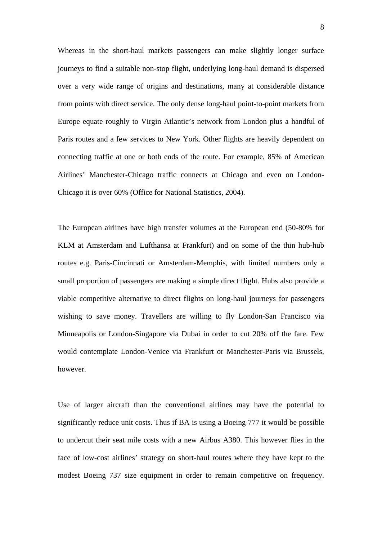Whereas in the short-haul markets passengers can make slightly longer surface journeys to find a suitable non-stop flight, underlying long-haul demand is dispersed over a very wide range of origins and destinations, many at considerable distance from points with direct service. The only dense long-haul point-to-point markets from Europe equate roughly to Virgin Atlantic's network from London plus a handful of Paris routes and a few services to New York. Other flights are heavily dependent on connecting traffic at one or both ends of the route. For example, 85% of American Airlines' Manchester-Chicago traffic connects at Chicago and even on London-Chicago it is over 60% (Office for National Statistics, 2004).

The European airlines have high transfer volumes at the European end (50-80% for KLM at Amsterdam and Lufthansa at Frankfurt) and on some of the thin hub-hub routes e.g. Paris-Cincinnati or Amsterdam-Memphis, with limited numbers only a small proportion of passengers are making a simple direct flight. Hubs also provide a viable competitive alternative to direct flights on long-haul journeys for passengers wishing to save money. Travellers are willing to fly London-San Francisco via Minneapolis or London-Singapore via Dubai in order to cut 20% off the fare. Few would contemplate London-Venice via Frankfurt or Manchester-Paris via Brussels, however.

Use of larger aircraft than the conventional airlines may have the potential to significantly reduce unit costs. Thus if BA is using a Boeing 777 it would be possible to undercut their seat mile costs with a new Airbus A380. This however flies in the face of low-cost airlines' strategy on short-haul routes where they have kept to the modest Boeing 737 size equipment in order to remain competitive on frequency.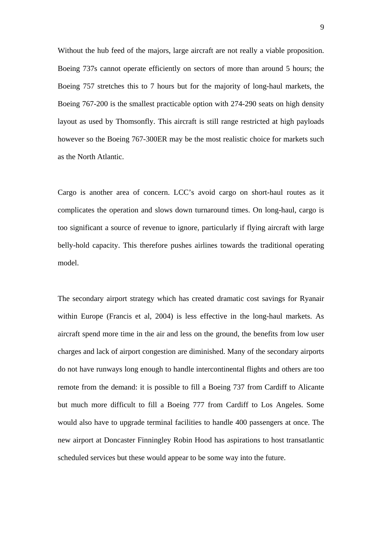Without the hub feed of the majors, large aircraft are not really a viable proposition. Boeing 737s cannot operate efficiently on sectors of more than around 5 hours; the Boeing 757 stretches this to 7 hours but for the majority of long-haul markets, the Boeing 767-200 is the smallest practicable option with 274-290 seats on high density layout as used by Thomsonfly. This aircraft is still range restricted at high payloads however so the Boeing 767-300ER may be the most realistic choice for markets such as the North Atlantic.

Cargo is another area of concern. LCC's avoid cargo on short-haul routes as it complicates the operation and slows down turnaround times. On long-haul, cargo is too significant a source of revenue to ignore, particularly if flying aircraft with large belly-hold capacity. This therefore pushes airlines towards the traditional operating model.

The secondary airport strategy which has created dramatic cost savings for Ryanair within Europe (Francis et al, 2004) is less effective in the long-haul markets. As aircraft spend more time in the air and less on the ground, the benefits from low user charges and lack of airport congestion are diminished. Many of the secondary airports do not have runways long enough to handle intercontinental flights and others are too remote from the demand: it is possible to fill a Boeing 737 from Cardiff to Alicante but much more difficult to fill a Boeing 777 from Cardiff to Los Angeles. Some would also have to upgrade terminal facilities to handle 400 passengers at once. The new airport at Doncaster Finningley Robin Hood has aspirations to host transatlantic scheduled services but these would appear to be some way into the future.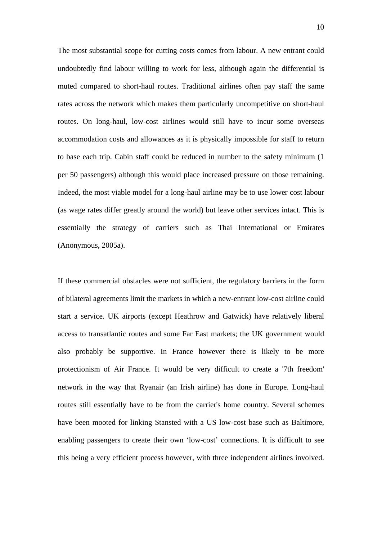The most substantial scope for cutting costs comes from labour. A new entrant could undoubtedly find labour willing to work for less, although again the differential is muted compared to short-haul routes. Traditional airlines often pay staff the same rates across the network which makes them particularly uncompetitive on short-haul routes. On long-haul, low-cost airlines would still have to incur some overseas accommodation costs and allowances as it is physically impossible for staff to return to base each trip. Cabin staff could be reduced in number to the safety minimum (1 per 50 passengers) although this would place increased pressure on those remaining. Indeed, the most viable model for a long-haul airline may be to use lower cost labour (as wage rates differ greatly around the world) but leave other services intact. This is essentially the strategy of carriers such as Thai International or Emirates (Anonymous, 2005a).

If these commercial obstacles were not sufficient, the regulatory barriers in the form of bilateral agreements limit the markets in which a new-entrant low-cost airline could start a service. UK airports (except Heathrow and Gatwick) have relatively liberal access to transatlantic routes and some Far East markets; the UK government would also probably be supportive. In France however there is likely to be more protectionism of Air France. It would be very difficult to create a '7th freedom' network in the way that Ryanair (an Irish airline) has done in Europe. Long-haul routes still essentially have to be from the carrier's home country. Several schemes have been mooted for linking Stansted with a US low-cost base such as Baltimore, enabling passengers to create their own 'low-cost' connections. It is difficult to see this being a very efficient process however, with three independent airlines involved.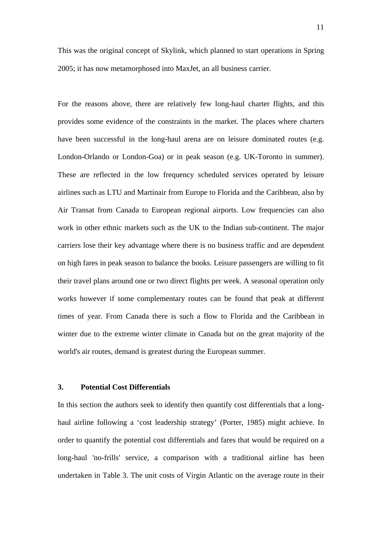This was the original concept of Skylink, which planned to start operations in Spring 2005; it has now metamorphosed into MaxJet, an all business carrier.

For the reasons above, there are relatively few long-haul charter flights, and this provides some evidence of the constraints in the market. The places where charters have been successful in the long-haul arena are on leisure dominated routes (e.g. London-Orlando or London-Goa) or in peak season (e.g. UK-Toronto in summer). These are reflected in the low frequency scheduled services operated by leisure airlines such as LTU and Martinair from Europe to Florida and the Caribbean, also by Air Transat from Canada to European regional airports. Low frequencies can also work in other ethnic markets such as the UK to the Indian sub-continent. The major carriers lose their key advantage where there is no business traffic and are dependent on high fares in peak season to balance the books. Leisure passengers are willing to fit their travel plans around one or two direct flights per week. A seasonal operation only works however if some complementary routes can be found that peak at different times of year. From Canada there is such a flow to Florida and the Caribbean in winter due to the extreme winter climate in Canada but on the great majority of the world's air routes, demand is greatest during the European summer.

#### **3. Potential Cost Differentials**

In this section the authors seek to identify then quantify cost differentials that a longhaul airline following a 'cost leadership strategy' (Porter, 1985) might achieve. In order to quantify the potential cost differentials and fares that would be required on a long-haul 'no-frills' service, a comparison with a traditional airline has been undertaken in Table 3. The unit costs of Virgin Atlantic on the average route in their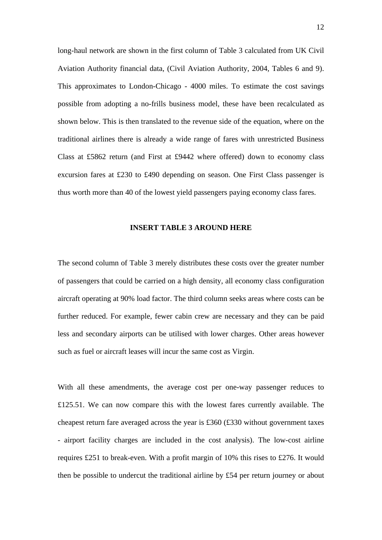long-haul network are shown in the first column of Table 3 calculated from UK Civil Aviation Authority financial data, (Civil Aviation Authority, 2004, Tables 6 and 9). This approximates to London-Chicago - 4000 miles. To estimate the cost savings possible from adopting a no-frills business model, these have been recalculated as shown below. This is then translated to the revenue side of the equation, where on the traditional airlines there is already a wide range of fares with unrestricted Business Class at £5862 return (and First at £9442 where offered) down to economy class excursion fares at £230 to £490 depending on season. One First Class passenger is thus worth more than 40 of the lowest yield passengers paying economy class fares.

# **INSERT TABLE 3 AROUND HERE**

The second column of Table 3 merely distributes these costs over the greater number of passengers that could be carried on a high density, all economy class configuration aircraft operating at 90% load factor. The third column seeks areas where costs can be further reduced. For example, fewer cabin crew are necessary and they can be paid less and secondary airports can be utilised with lower charges. Other areas however such as fuel or aircraft leases will incur the same cost as Virgin.

With all these amendments, the average cost per one-way passenger reduces to £125.51. We can now compare this with the lowest fares currently available. The cheapest return fare averaged across the year is £360 (£330 without government taxes - airport facility charges are included in the cost analysis). The low-cost airline requires £251 to break-even. With a profit margin of 10% this rises to £276. It would then be possible to undercut the traditional airline by £54 per return journey or about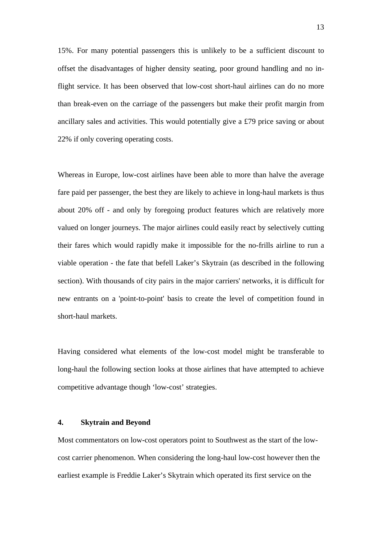15%. For many potential passengers this is unlikely to be a sufficient discount to offset the disadvantages of higher density seating, poor ground handling and no inflight service. It has been observed that low-cost short-haul airlines can do no more than break-even on the carriage of the passengers but make their profit margin from ancillary sales and activities. This would potentially give a £79 price saving or about 22% if only covering operating costs.

Whereas in Europe, low-cost airlines have been able to more than halve the average fare paid per passenger, the best they are likely to achieve in long-haul markets is thus about 20% off - and only by foregoing product features which are relatively more valued on longer journeys. The major airlines could easily react by selectively cutting their fares which would rapidly make it impossible for the no-frills airline to run a viable operation - the fate that befell Laker's Skytrain (as described in the following section). With thousands of city pairs in the major carriers' networks, it is difficult for new entrants on a 'point-to-point' basis to create the level of competition found in short-haul markets.

Having considered what elements of the low-cost model might be transferable to long-haul the following section looks at those airlines that have attempted to achieve competitive advantage though 'low-cost' strategies.

# **4. Skytrain and Beyond**

Most commentators on low-cost operators point to Southwest as the start of the lowcost carrier phenomenon. When considering the long-haul low-cost however then the earliest example is Freddie Laker's Skytrain which operated its first service on the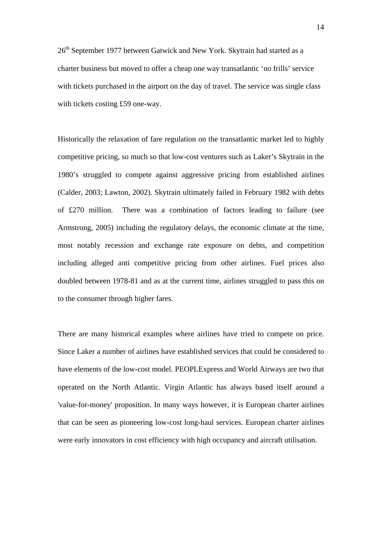26<sup>th</sup> September 1977 between Gatwick and New York. Skytrain had started as a charter business but moved to offer a cheap one way transatlantic 'no frills' service with tickets purchased in the airport on the day of travel. The service was single class with tickets costing £59 one-way.

Historically the relaxation of fare regulation on the transatlantic market led to highly competitive pricing, so much so that low-cost ventures such as Laker's Skytrain in the 1980's struggled to compete against aggressive pricing from established airlines (Calder, 2003; Lawton, 2002). Skytrain ultimately failed in February 1982 with debts of £270 million. There was a combination of factors leading to failure (see Armstrong, 2005) including the regulatory delays, the economic climate at the time, most notably recession and exchange rate exposure on debts, and competition including alleged anti competitive pricing from other airlines. Fuel prices also doubled between 1978-81 and as at the current time, airlines struggled to pass this on to the consumer through higher fares.

There are many historical examples where airlines have tried to compete on price. Since Laker a number of airlines have established services that could be considered to have elements of the low-cost model. PEOPLExpress and World Airways are two that operated on the North Atlantic. Virgin Atlantic has always based itself around a 'value-for-money' proposition. In many ways however, it is European charter airlines that can be seen as pioneering low-cost long-haul services. European charter airlines were early innovators in cost efficiency with high occupancy and aircraft utilisation.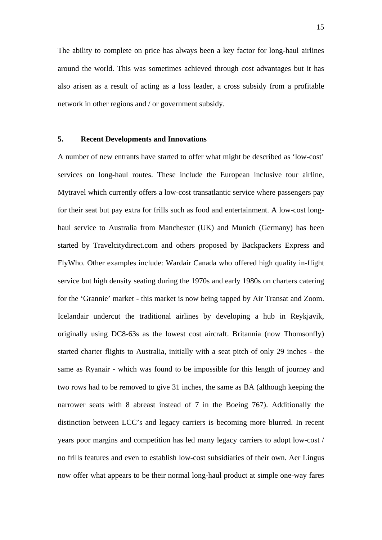The ability to complete on price has always been a key factor for long-haul airlines around the world. This was sometimes achieved through cost advantages but it has also arisen as a result of acting as a loss leader, a cross subsidy from a profitable network in other regions and / or government subsidy.

## **5. Recent Developments and Innovations**

A number of new entrants have started to offer what might be described as 'low-cost' services on long-haul routes. These include the European inclusive tour airline, Mytravel which currently offers a low-cost transatlantic service where passengers pay for their seat but pay extra for frills such as food and entertainment. A low-cost longhaul service to Australia from Manchester (UK) and Munich (Germany) has been started by Travelcitydirect.com and others proposed by Backpackers Express and FlyWho. Other examples include: Wardair Canada who offered high quality in-flight service but high density seating during the 1970s and early 1980s on charters catering for the 'Grannie' market - this market is now being tapped by Air Transat and Zoom. Icelandair undercut the traditional airlines by developing a hub in Reykjavik, originally using DC8-63s as the lowest cost aircraft. Britannia (now Thomsonfly) started charter flights to Australia, initially with a seat pitch of only 29 inches - the same as Ryanair - which was found to be impossible for this length of journey and two rows had to be removed to give 31 inches, the same as BA (although keeping the narrower seats with 8 abreast instead of 7 in the Boeing 767). Additionally the distinction between LCC's and legacy carriers is becoming more blurred. In recent years poor margins and competition has led many legacy carriers to adopt low-cost / no frills features and even to establish low-cost subsidiaries of their own. Aer Lingus now offer what appears to be their normal long-haul product at simple one-way fares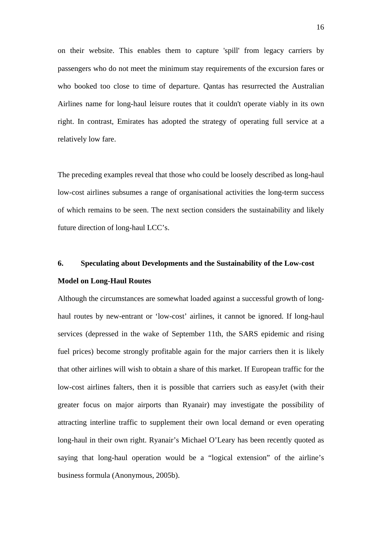on their website. This enables them to capture 'spill' from legacy carriers by passengers who do not meet the minimum stay requirements of the excursion fares or who booked too close to time of departure. Qantas has resurrected the Australian Airlines name for long-haul leisure routes that it couldn't operate viably in its own right. In contrast, Emirates has adopted the strategy of operating full service at a relatively low fare.

The preceding examples reveal that those who could be loosely described as long-haul low-cost airlines subsumes a range of organisational activities the long-term success of which remains to be seen. The next section considers the sustainability and likely future direction of long-haul LCC's.

# **6. Speculating about Developments and the Sustainability of the Low-cost Model on Long-Haul Routes**

Although the circumstances are somewhat loaded against a successful growth of longhaul routes by new-entrant or 'low-cost' airlines, it cannot be ignored. If long-haul services (depressed in the wake of September 11th, the SARS epidemic and rising fuel prices) become strongly profitable again for the major carriers then it is likely that other airlines will wish to obtain a share of this market. If European traffic for the low-cost airlines falters, then it is possible that carriers such as easyJet (with their greater focus on major airports than Ryanair) may investigate the possibility of attracting interline traffic to supplement their own local demand or even operating long-haul in their own right. Ryanair's Michael O'Leary has been recently quoted as saying that long-haul operation would be a "logical extension" of the airline's business formula (Anonymous, 2005b).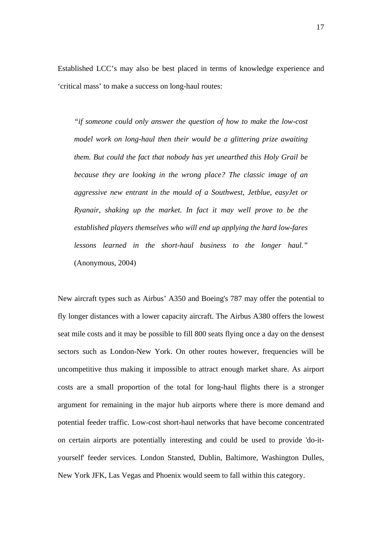Established LCC's may also be best placed in terms of knowledge experience and 'critical mass' to make a success on long-haul routes:

*"if someone could only answer the question of how to make the low-cost model work on long-haul then their would be a glittering prize awaiting them. But could the fact that nobody has yet unearthed this Holy Grail be because they are looking in the wrong place? The classic image of an aggressive new entrant in the mould of a Southwest, Jetblue, easyJet or Ryanair, shaking up the market. In fact it may well prove to be the established players themselves who will end up applying the hard low-fares lessons learned in the short-haul business to the longer haul."*  (Anonymous, 2004)

New aircraft types such as Airbus' A350 and Boeing's 787 may offer the potential to fly longer distances with a lower capacity aircraft. The Airbus A380 offers the lowest seat mile costs and it may be possible to fill 800 seats flying once a day on the densest sectors such as London-New York. On other routes however, frequencies will be uncompetitive thus making it impossible to attract enough market share. As airport costs are a small proportion of the total for long-haul flights there is a stronger argument for remaining in the major hub airports where there is more demand and potential feeder traffic. Low-cost short-haul networks that have become concentrated on certain airports are potentially interesting and could be used to provide 'do-ityourself' feeder services. London Stansted, Dublin, Baltimore, Washington Dulles, New York JFK, Las Vegas and Phoenix would seem to fall within this category.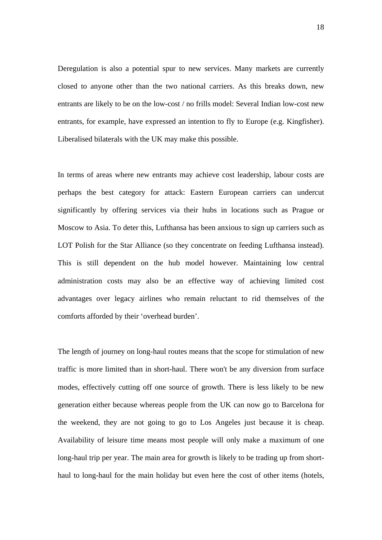Deregulation is also a potential spur to new services. Many markets are currently closed to anyone other than the two national carriers. As this breaks down, new entrants are likely to be on the low-cost / no frills model: Several Indian low-cost new entrants, for example, have expressed an intention to fly to Europe (e.g. Kingfisher). Liberalised bilaterals with the UK may make this possible.

In terms of areas where new entrants may achieve cost leadership, labour costs are perhaps the best category for attack: Eastern European carriers can undercut significantly by offering services via their hubs in locations such as Prague or Moscow to Asia. To deter this, Lufthansa has been anxious to sign up carriers such as LOT Polish for the Star Alliance (so they concentrate on feeding Lufthansa instead). This is still dependent on the hub model however. Maintaining low central administration costs may also be an effective way of achieving limited cost advantages over legacy airlines who remain reluctant to rid themselves of the comforts afforded by their 'overhead burden'.

The length of journey on long-haul routes means that the scope for stimulation of new traffic is more limited than in short-haul. There won't be any diversion from surface modes, effectively cutting off one source of growth. There is less likely to be new generation either because whereas people from the UK can now go to Barcelona for the weekend, they are not going to go to Los Angeles just because it is cheap. Availability of leisure time means most people will only make a maximum of one long-haul trip per year. The main area for growth is likely to be trading up from shorthaul to long-haul for the main holiday but even here the cost of other items (hotels,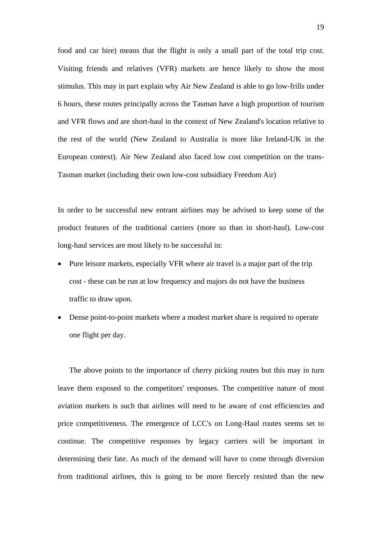food and car hire) means that the flight is only a small part of the total trip cost. Visiting friends and relatives (VFR) markets are hence likely to show the most stimulus. This may in part explain why Air New Zealand is able to go low-frills under 6 hours, these routes principally across the Tasman have a high proportion of tourism and VFR flows and are short-haul in the context of New Zealand's location relative to the rest of the world (New Zealand to Australia is more like Ireland-UK in the European context). Air New Zealand also faced low cost competition on the trans-Tasman market (including their own low-cost subsidiary Freedom Air)

In order to be successful new entrant airlines may be advised to keep some of the product features of the traditional carriers (more so than in short-haul). Low-cost long-haul services are most likely to be successful in:

- Pure leisure markets, especially VFR where air travel is a major part of the trip cost - these can be run at low frequency and majors do not have the business traffic to draw upon.
- Dense point-to-point markets where a modest market share is required to operate one flight per day.

The above points to the importance of cherry picking routes but this may in turn leave them exposed to the competitors' responses. The competitive nature of most aviation markets is such that airlines will need to be aware of cost efficiencies and price competitiveness. The emergence of LCC's on Long-Haul routes seems set to continue. The competitive responses by legacy carriers will be important in determining their fate. As much of the demand will have to come through diversion from traditional airlines, this is going to be more fiercely resisted than the new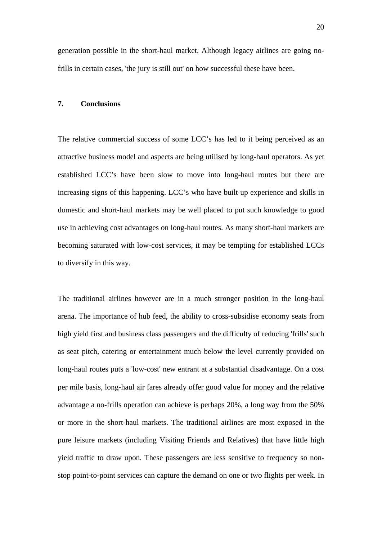generation possible in the short-haul market. Although legacy airlines are going nofrills in certain cases, 'the jury is still out' on how successful these have been.

#### **7. Conclusions**

The relative commercial success of some LCC's has led to it being perceived as an attractive business model and aspects are being utilised by long-haul operators. As yet established LCC's have been slow to move into long-haul routes but there are increasing signs of this happening. LCC's who have built up experience and skills in domestic and short-haul markets may be well placed to put such knowledge to good use in achieving cost advantages on long-haul routes. As many short-haul markets are becoming saturated with low-cost services, it may be tempting for established LCCs to diversify in this way.

The traditional airlines however are in a much stronger position in the long-haul arena. The importance of hub feed, the ability to cross-subsidise economy seats from high yield first and business class passengers and the difficulty of reducing 'frills' such as seat pitch, catering or entertainment much below the level currently provided on long-haul routes puts a 'low-cost' new entrant at a substantial disadvantage. On a cost per mile basis, long-haul air fares already offer good value for money and the relative advantage a no-frills operation can achieve is perhaps 20%, a long way from the 50% or more in the short-haul markets. The traditional airlines are most exposed in the pure leisure markets (including Visiting Friends and Relatives) that have little high yield traffic to draw upon. These passengers are less sensitive to frequency so nonstop point-to-point services can capture the demand on one or two flights per week. In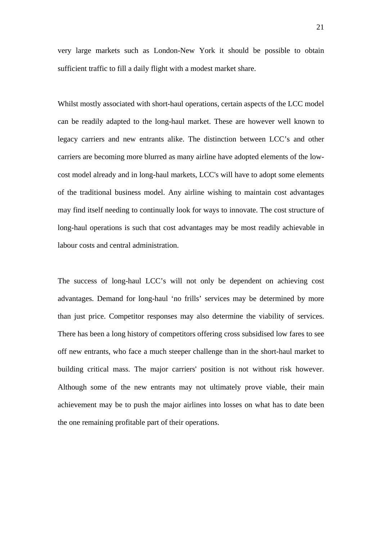very large markets such as London-New York it should be possible to obtain sufficient traffic to fill a daily flight with a modest market share.

Whilst mostly associated with short-haul operations, certain aspects of the LCC model can be readily adapted to the long-haul market. These are however well known to legacy carriers and new entrants alike. The distinction between LCC's and other carriers are becoming more blurred as many airline have adopted elements of the lowcost model already and in long-haul markets, LCC's will have to adopt some elements of the traditional business model. Any airline wishing to maintain cost advantages may find itself needing to continually look for ways to innovate. The cost structure of long-haul operations is such that cost advantages may be most readily achievable in labour costs and central administration.

The success of long-haul LCC's will not only be dependent on achieving cost advantages. Demand for long-haul 'no frills' services may be determined by more than just price. Competitor responses may also determine the viability of services. There has been a long history of competitors offering cross subsidised low fares to see off new entrants, who face a much steeper challenge than in the short-haul market to building critical mass. The major carriers' position is not without risk however. Although some of the new entrants may not ultimately prove viable, their main achievement may be to push the major airlines into losses on what has to date been the one remaining profitable part of their operations.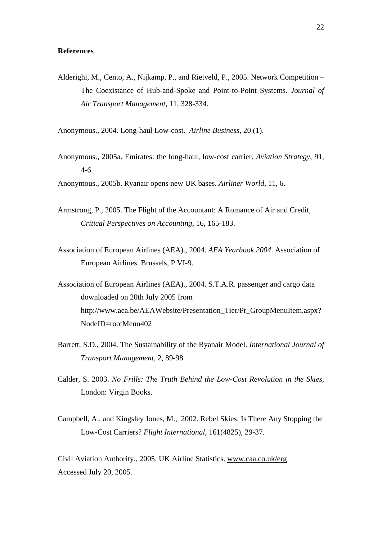#### **References**

Alderighi, M., Cento, A., Nijkamp, P., and Rietveld, P., 2005. Network Competition – The Coexistance of Hub-and-Spoke and Point-to-Point Systems. *Journal of Air Transport Management,* 11, 328-334.

Anonymous., 2004. Long-haul Low-cost. *Airline Business*, 20 (1).

Anonymous., 2005a. Emirates: the long-haul, low-cost carrier. *Aviation Strategy*, 91, 4-6.

Anonymous., 2005b. Ryanair opens new UK bases. *Airliner World*, 11, 6.

- Armstrong, P., 2005. The Flight of the Accountant: A Romance of Air and Credit, *Critical Perspectives on Accounting*, 16, 165-183.
- Association of European Airlines (AEA)., 2004. *AEA Yearbook 2004*. Association of European Airlines. Brussels, P VI-9.
- Association of European Airlines (AEA)., 2004. S.T.A.R. passenger and cargo data downloaded on 20th July 2005 from http://www.aea.be/AEAWebsite/Presentation\_Tier/Pr\_GroupMenuItem.aspx? NodeID=rootMenu402
- Barrett, S.D., 2004. The Sustainability of the Ryanair Model. *International Journal of Transport Management,* 2, 89-98.
- Calder, S. 2003. *No Frills: The Truth Behind the Low-Cost Revolution in the Skies*, London: Virgin Books.
- Campbell, A., and Kingsley Jones, M., 2002. Rebel Skies: Is There Any Stopping the Low-Cost Carriers? *Flight International,* 161(4825), 29-37.

Civil Aviation Authority., 2005. UK Airline Statistics. www.caa.co.uk/erg Accessed July 20, 2005.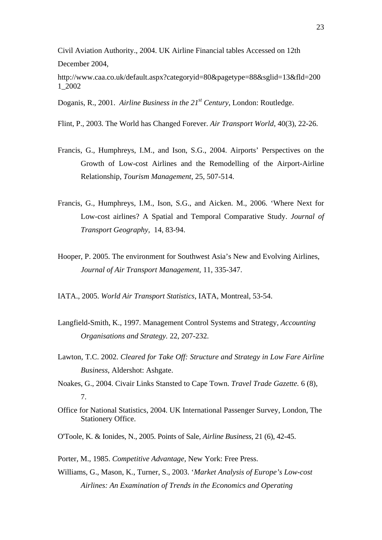Civil Aviation Authority., 2004. UK Airline Financial tables Accessed on 12th December 2004,

http://www.caa.co.uk/default.aspx?categoryid=80&pagetype=88&sglid=13&fld=200 1\_2002

Doganis, R., 2001. *Airline Business in the 21<sup>st</sup> Century*, London: Routledge.

Flint, P., 2003. The World has Changed Forever. *Air Transport World*, 40(3), 22-26.

- Francis, G., Humphreys, I.M., and Ison, S.G., 2004. Airports' Perspectives on the Growth of Low-cost Airlines and the Remodelling of the Airport-Airline Relationship, *Tourism Management*, 25, 507-514.
- Francis, G., Humphreys, I.M., Ison, S.G., and Aicken. M., 2006. 'Where Next for Low-cost airlines? A Spatial and Temporal Comparative Study. *Journal of Transport Geography,* 14, 83-94.
- Hooper, P. 2005. The environment for Southwest Asia's New and Evolving Airlines, *Journal of Air Transport Management,* 11, 335-347.

IATA., 2005. *World Air Transport Statistics*, IATA, Montreal, 53-54.

- Langfield-Smith, K., 1997. Management Control Systems and Strategy*, Accounting Organisations and Strategy.* 22, 207-232.
- Lawton, T.C. 2002. *Cleared for Take Off: Structure and Strategy in Low Fare Airline Business*, Aldershot: Ashgate.
- Noakes, G., 2004. Civair Links Stansted to Cape Town. *Travel Trade Gazette.* 6 (8), 7.
- Office for National Statistics, 2004. UK International Passenger Survey, London, The Stationery Office.
- O'Toole, K. & Ionides, N., 2005. Points of Sale, *Airline Business*, 21 (6), 42-45.

Porter, M., 1985. *Competitive Advantage*, New York: Free Press.

Williams, G., Mason, K., Turner, S., 2003. '*Market Analysis of Europe's Low-cost Airlines: An Examination of Trends in the Economics and Operating*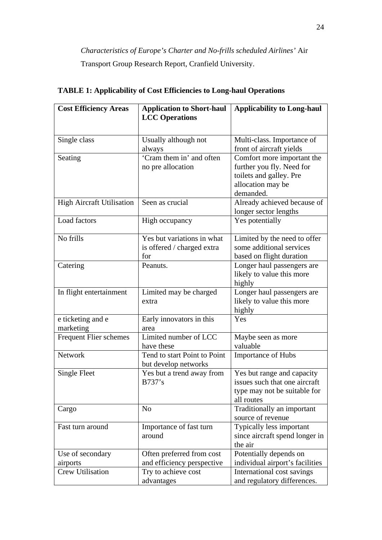*Characteristics of Europe's Charter and No-frills scheduled Airlines'* Air Transport Group Research Report, Cranfield University.

| <b>Cost Efficiency Areas</b>     | <b>Application to Short-haul</b><br><b>LCC</b> Operations | <b>Applicability to Long-haul</b> |  |
|----------------------------------|-----------------------------------------------------------|-----------------------------------|--|
| Single class                     | Usually although not                                      | Multi-class. Importance of        |  |
|                                  | always                                                    | front of aircraft yields          |  |
| Seating                          | 'Cram them in' and often                                  | Comfort more important the        |  |
|                                  | no pre allocation                                         | further you fly. Need for         |  |
|                                  |                                                           | toilets and galley. Pre           |  |
|                                  |                                                           | allocation may be                 |  |
|                                  |                                                           | demanded.                         |  |
| <b>High Aircraft Utilisation</b> | Seen as crucial                                           | Already achieved because of       |  |
|                                  |                                                           | longer sector lengths             |  |
| Load factors                     | High occupancy                                            | Yes potentially                   |  |
| No frills                        | Yes but variations in what                                | Limited by the need to offer      |  |
|                                  | is offered / charged extra                                | some additional services          |  |
|                                  | for                                                       | based on flight duration          |  |
| Catering                         | Peanuts.                                                  | Longer haul passengers are        |  |
|                                  |                                                           | likely to value this more         |  |
|                                  |                                                           | highly                            |  |
| In flight entertainment          | Limited may be charged                                    | Longer haul passengers are        |  |
|                                  | extra                                                     | likely to value this more         |  |
|                                  |                                                           | highly                            |  |
| e ticketing and e                | Early innovators in this                                  | Yes                               |  |
| marketing                        | area                                                      |                                   |  |
| <b>Frequent Flier schemes</b>    | Limited number of LCC                                     | Maybe seen as more<br>valuable    |  |
| <b>Network</b>                   | have these<br>Tend to start Point to Point                |                                   |  |
|                                  |                                                           | <b>Importance of Hubs</b>         |  |
| Single Fleet                     | but develop networks<br>Yes but a trend away from         | Yes but range and capacity        |  |
|                                  | B737's                                                    | issues such that one aircraft     |  |
|                                  |                                                           | type may not be suitable for      |  |
|                                  |                                                           | all routes                        |  |
| Cargo                            | N <sub>o</sub>                                            | Traditionally an important        |  |
|                                  |                                                           | source of revenue                 |  |
| Fast turn around                 | Importance of fast turn                                   | Typically less important          |  |
|                                  | around                                                    | since aircraft spend longer in    |  |
|                                  |                                                           | the air                           |  |
| Use of secondary                 | Often preferred from cost                                 | Potentially depends on            |  |
| airports                         | and efficiency perspective                                | individual airport's facilities   |  |
| Crew Utilisation                 | Try to achieve cost                                       | International cost savings        |  |
|                                  | advantages                                                | and regulatory differences.       |  |

# **TABLE 1: Applicability of Cost Efficiencies to Long-haul Operations**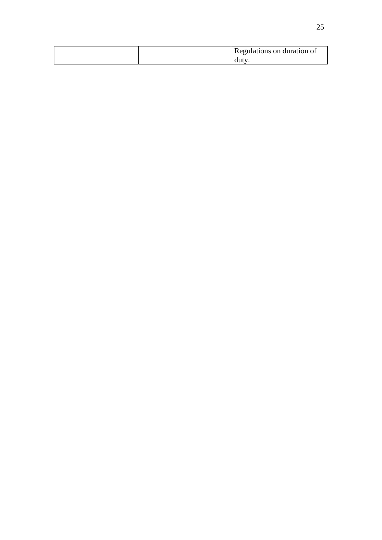| Regulations on duration of |
|----------------------------|
| duty                       |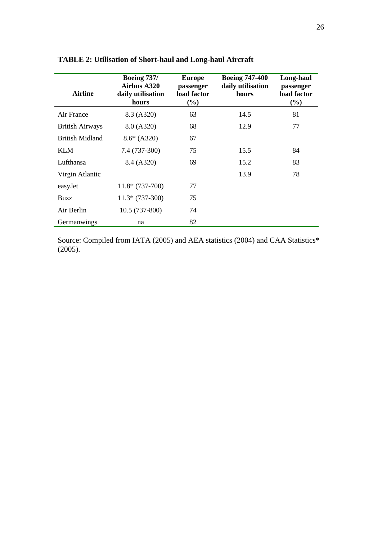| <b>Airline</b>         | <b>Boeing 737/</b><br>Airbus A320<br>daily utilisation<br>hours | <b>Europe</b><br>passenger<br>load factor<br>(%) | <b>Boeing 747-400</b><br>daily utilisation<br>hours | Long-haul<br>passenger<br>load factor<br>(%) |
|------------------------|-----------------------------------------------------------------|--------------------------------------------------|-----------------------------------------------------|----------------------------------------------|
| Air France             | 8.3 (A320)                                                      | 63                                               | 14.5                                                | 81                                           |
| <b>British Airways</b> | 8.0 (A320)                                                      | 68                                               | 12.9                                                | 77                                           |
| British Midland        | $8.6*(A320)$                                                    | 67                                               |                                                     |                                              |
| <b>KLM</b>             | 7.4 (737-300)                                                   | 75                                               | 15.5                                                | 84                                           |
| Lufthansa              | 8.4 (A320)                                                      | 69                                               | 15.2                                                | 83                                           |
| Virgin Atlantic        |                                                                 |                                                  | 13.9                                                | 78                                           |
| easyJet                | $11.8*(737-700)$                                                | 77                                               |                                                     |                                              |
| <b>Buzz</b>            | $11.3*(737-300)$                                                | 75                                               |                                                     |                                              |
| Air Berlin             | $10.5(737-800)$                                                 | 74                                               |                                                     |                                              |
| Germanwings            | na                                                              | 82                                               |                                                     |                                              |

**TABLE 2: Utilisation of Short-haul and Long-haul Aircraft** 

Source: Compiled from IATA (2005) and AEA statistics (2004) and CAA Statistics\* (2005).